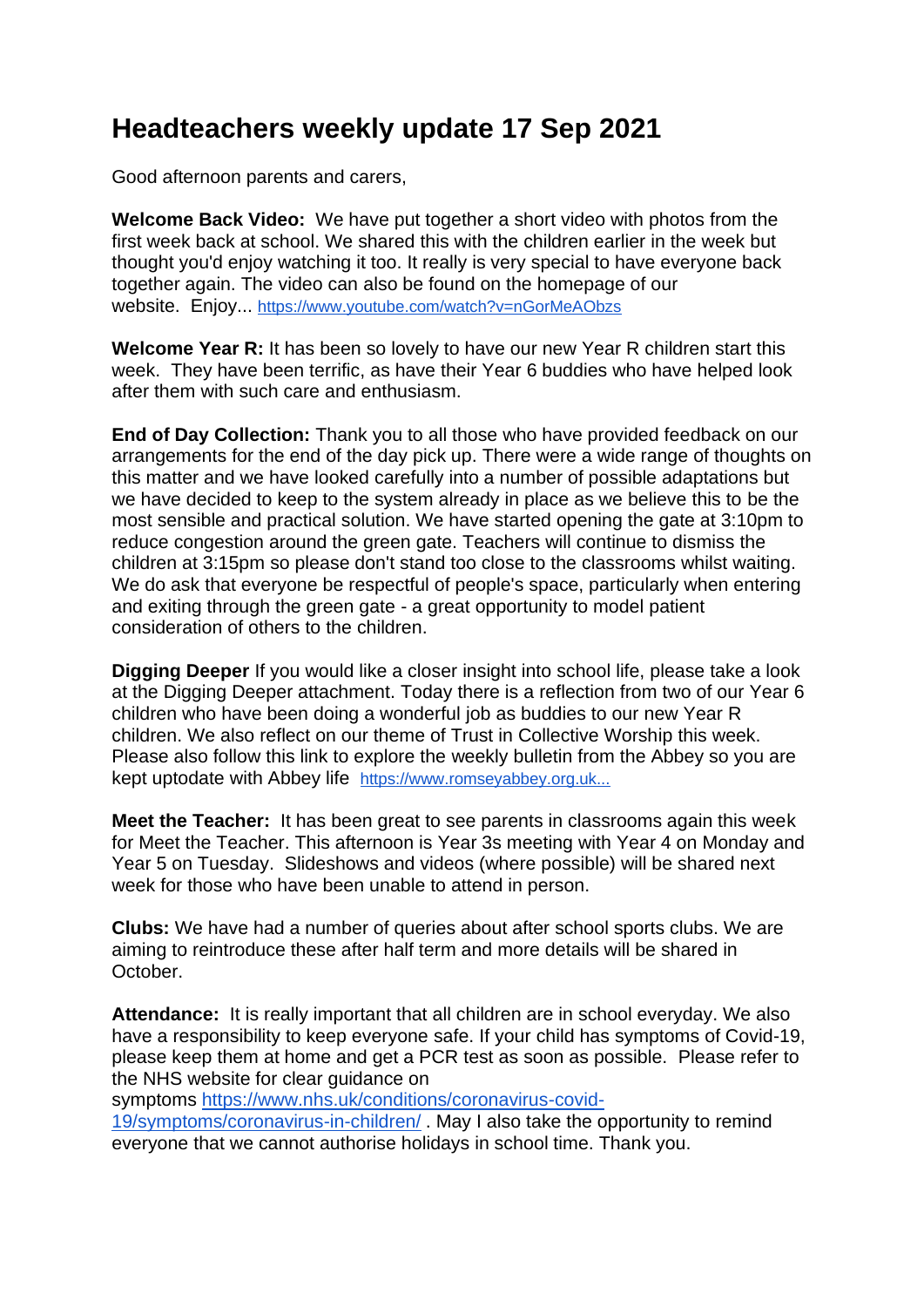## **Headteachers weekly update 17 Sep 2021**

Good afternoon parents and carers,

**Welcome Back Video:** We have put together a short video with photos from the first week back at school. We shared this with the children earlier in the week but thought you'd enjoy watching it too. It really is very special to have everyone back together again. The video can also be found on the homepage of our website. Enjoy... <https://www.youtube.com/watch?v=nGorMeAObzs>

**Welcome Year R:** It has been so lovely to have our new Year R children start this week. They have been terrific, as have their Year 6 buddies who have helped look after them with such care and enthusiasm.

**End of Day Collection:** Thank you to all those who have provided feedback on our arrangements for the end of the day pick up. There were a wide range of thoughts on this matter and we have looked carefully into a number of possible adaptations but we have decided to keep to the system already in place as we believe this to be the most sensible and practical solution. We have started opening the gate at 3:10pm to reduce congestion around the green gate. Teachers will continue to dismiss the children at 3:15pm so please don't stand too close to the classrooms whilst waiting. We do ask that everyone be respectful of people's space, particularly when entering and exiting through the green gate - a great opportunity to model patient consideration of others to the children.

**Digging Deeper** If you would like a closer insight into school life, please take a look at the Digging Deeper attachment. Today there is a reflection from two of our Year 6 children who have been doing a wonderful job as buddies to our new Year R children. We also reflect on our theme of Trust in Collective Worship this week. Please also follow this link to explore the weekly bulletin from the Abbey so you are kept uptodate with Abbey life [https://www.romseyabbey.org.uk...](http://z6yx.mjt.lu/lnk/EAAAAh0gyIAAAAAAAAAAALJmt4oAARrmTisAAAAAAAYHIQBhRINItnzkWw_PQLiT_g17108QQgAFkck/1/F_fXLwIo2PTyiOvODXJ-nA/aHR0cHM6Ly93d3cucm9tc2V5YWJiZXkub3JnLnVrL3dwLWNvbnRlbnQvdXBsb2Fkcy9CdWxsZXRpbi0xOXRoLVNlcHRlbWJlci0yMDIxLnBkZg)

**Meet the Teacher:** It has been great to see parents in classrooms again this week for Meet the Teacher. This afternoon is Year 3s meeting with Year 4 on Monday and Year 5 on Tuesday. Slideshows and videos (where possible) will be shared next week for those who have been unable to attend in person.

**Clubs:** We have had a number of queries about after school sports clubs. We are aiming to reintroduce these after half term and more details will be shared in October.

**Attendance:** It is really important that all children are in school everyday. We also have a responsibility to keep everyone safe. If your child has symptoms of Covid-19, please keep them at home and get a PCR test as soon as possible. Please refer to the NHS website for clear guidance on

symptoms [https://www.nhs.uk/conditions/coronavirus-covid-](https://www.nhs.uk/conditions/coronavirus-covid-19/symptoms/coronavirus-in-children/)

[19/symptoms/coronavirus-in-children/](https://www.nhs.uk/conditions/coronavirus-covid-19/symptoms/coronavirus-in-children/) . May I also take the opportunity to remind everyone that we cannot authorise holidays in school time. Thank you.